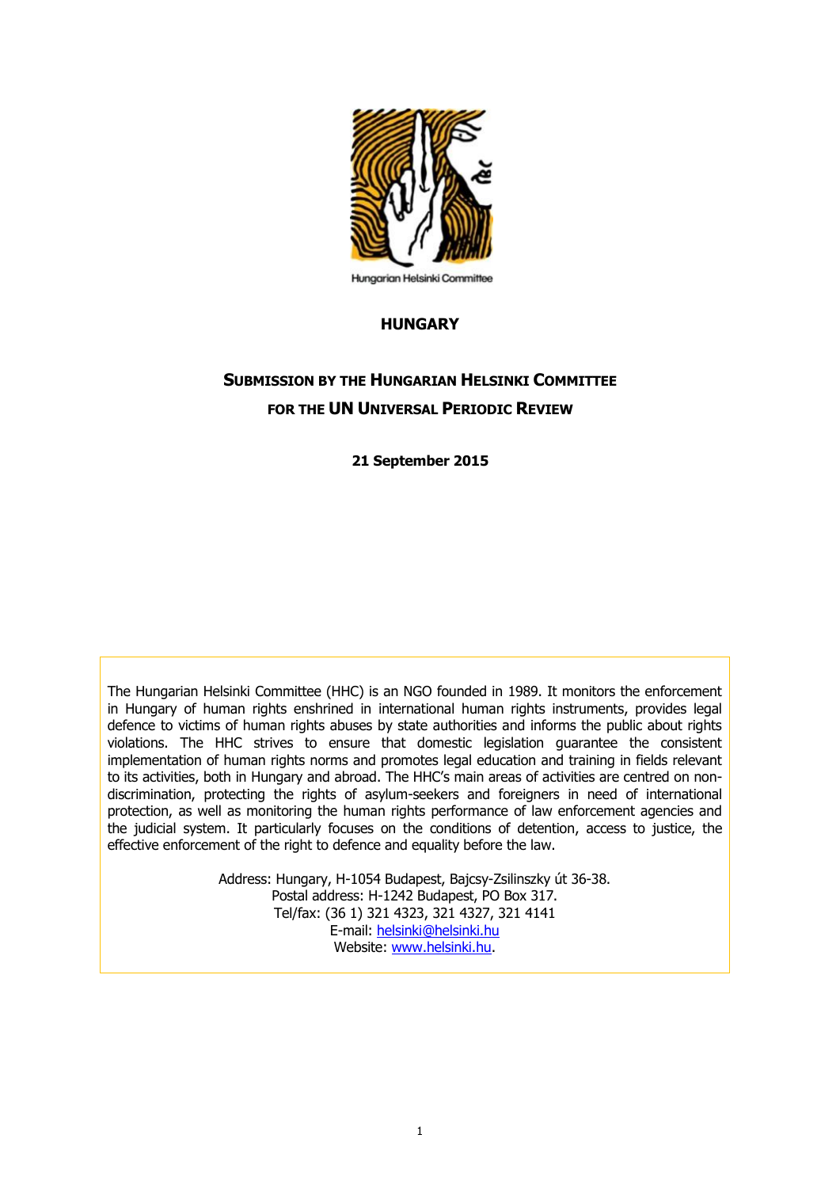

## **Hungarian Helsinki Committee**

## **HUNGARY**

# **SUBMISSION BY THE HUNGARIAN HELSINKI COMMITTEE FOR THE UN UNIVERSAL PERIODIC REVIEW**

**21 September 2015**

The Hungarian Helsinki Committee (HHC) is an NGO founded in 1989. It monitors the enforcement in Hungary of human rights enshrined in international human rights instruments, provides legal defence to victims of human rights abuses by state authorities and informs the public about rights violations. The HHC strives to ensure that domestic legislation guarantee the consistent implementation of human rights norms and promotes legal education and training in fields relevant to its activities, both in Hungary and abroad. The HHC's main areas of activities are centred on nondiscrimination, protecting the rights of asylum-seekers and foreigners in need of international protection, as well as monitoring the human rights performance of law enforcement agencies and the judicial system. It particularly focuses on the conditions of detention, access to justice, the effective enforcement of the right to defence and equality before the law.

> Address: Hungary, H-1054 Budapest, Bajcsy-Zsilinszky út 36-38. Postal address: H-1242 Budapest, PO Box 317. Tel/fax: (36 1) 321 4323, 321 4327, 321 4141 E-mail: [helsinki@helsinki.hu](mailto:helsinki@helsinki.hu) Website: [www.helsinki.hu.](http://www.helsinki.hu/)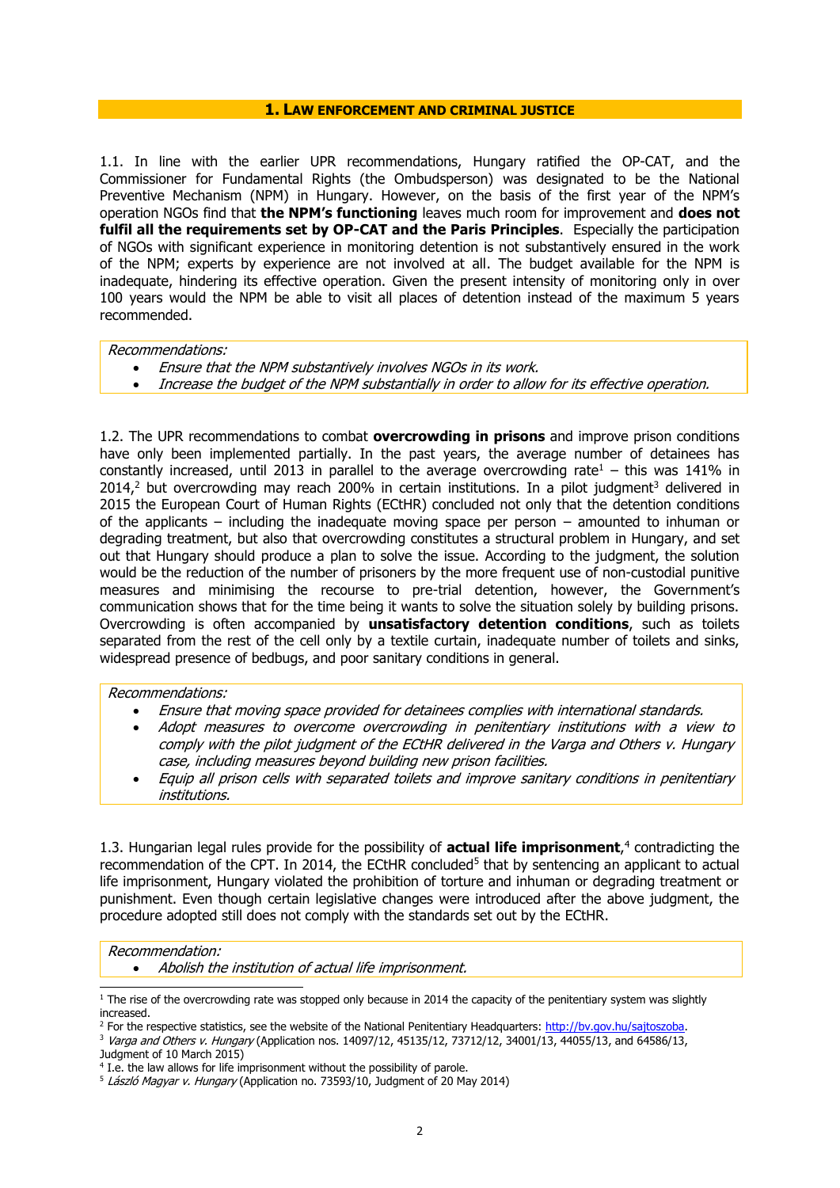#### **1. LAW ENFORCEMENT AND CRIMINAL JUSTICE**

1.1. In line with the earlier UPR recommendations, Hungary ratified the OP-CAT, and the Commissioner for Fundamental Rights (the Ombudsperson) was designated to be the National Preventive Mechanism (NPM) in Hungary. However, on the basis of the first year of the NPM's operation NGOs find that **the NPM's functioning** leaves much room for improvement and **does not fulfil all the requirements set by OP-CAT and the Paris Principles**. Especially the participation of NGOs with significant experience in monitoring detention is not substantively ensured in the work of the NPM; experts by experience are not involved at all. The budget available for the NPM is inadequate, hindering its effective operation. Given the present intensity of monitoring only in over 100 years would the NPM be able to visit all places of detention instead of the maximum 5 years recommended.

#### Recommendations:

- Ensure that the NPM substantively involves NGOs in its work.
- Increase the budget of the NPM substantially in order to allow for its effective operation.

1.2. The UPR recommendations to combat **overcrowding in prisons** and improve prison conditions have only been implemented partially. In the past years, the average number of detainees has constantly increased, until 2013 in parallel to the average overcrowding rate<sup>1</sup> – this was 141% in  $2014<sup>2</sup>$  but overcrowding may reach 200% in certain institutions. In a pilot judgment<sup>3</sup> delivered in 2015 the European Court of Human Rights (ECtHR) concluded not only that the detention conditions of the applicants – including the inadequate moving space per person – amounted to inhuman or degrading treatment, but also that overcrowding constitutes a structural problem in Hungary, and set out that Hungary should produce a plan to solve the issue. According to the judgment, the solution would be the reduction of the number of prisoners by the more frequent use of non-custodial punitive measures and minimising the recourse to pre-trial detention, however, the Government's communication shows that for the time being it wants to solve the situation solely by building prisons. Overcrowding is often accompanied by **unsatisfactory detention conditions**, such as toilets separated from the rest of the cell only by a textile curtain, inadequate number of toilets and sinks, widespread presence of bedbugs, and poor sanitary conditions in general.

### Recommendations:

- Ensure that moving space provided for detainees complies with international standards.
- Adopt measures to overcome overcrowding in penitentiary institutions with a view to comply with the pilot judgment of the ECtHR delivered in the Varga and Others v. Hungary case, including measures beyond building new prison facilities.
- Equip all prison cells with separated toilets and improve sanitary conditions in penitentiary institutions.

1.3. Hungarian legal rules provide for the possibility of **actual life imprisonment**, 4 contradicting the recommendation of the CPT. In 2014, the ECtHR concluded<sup>5</sup> that by sentencing an applicant to actual life imprisonment, Hungary violated the prohibition of torture and inhuman or degrading treatment or punishment. Even though certain legislative changes were introduced after the above judgment, the procedure adopted still does not comply with the standards set out by the ECtHR.

## Recommendation:

-

Abolish the institution of actual life imprisonment.

<sup>3</sup> Varga and Others v. Hungary (Application nos. 14097/12, 45135/12, 73712/12, 34001/13, 44055/13, and 64586/13, Judgment of 10 March 2015)

 $1$  The rise of the overcrowding rate was stopped only because in 2014 the capacity of the penitentiary system was slightly increased.

<sup>&</sup>lt;sup>2</sup> For the respective statistics, see the website of the National Penitentiary Headquarters: http://bv.gov.hu/saitoszoba.

<sup>&</sup>lt;sup>4</sup> I.e. the law allows for life imprisonment without the possibility of parole.

 $5$  László Magyar v. Hungary (Application no. 73593/10, Judgment of 20 May 2014)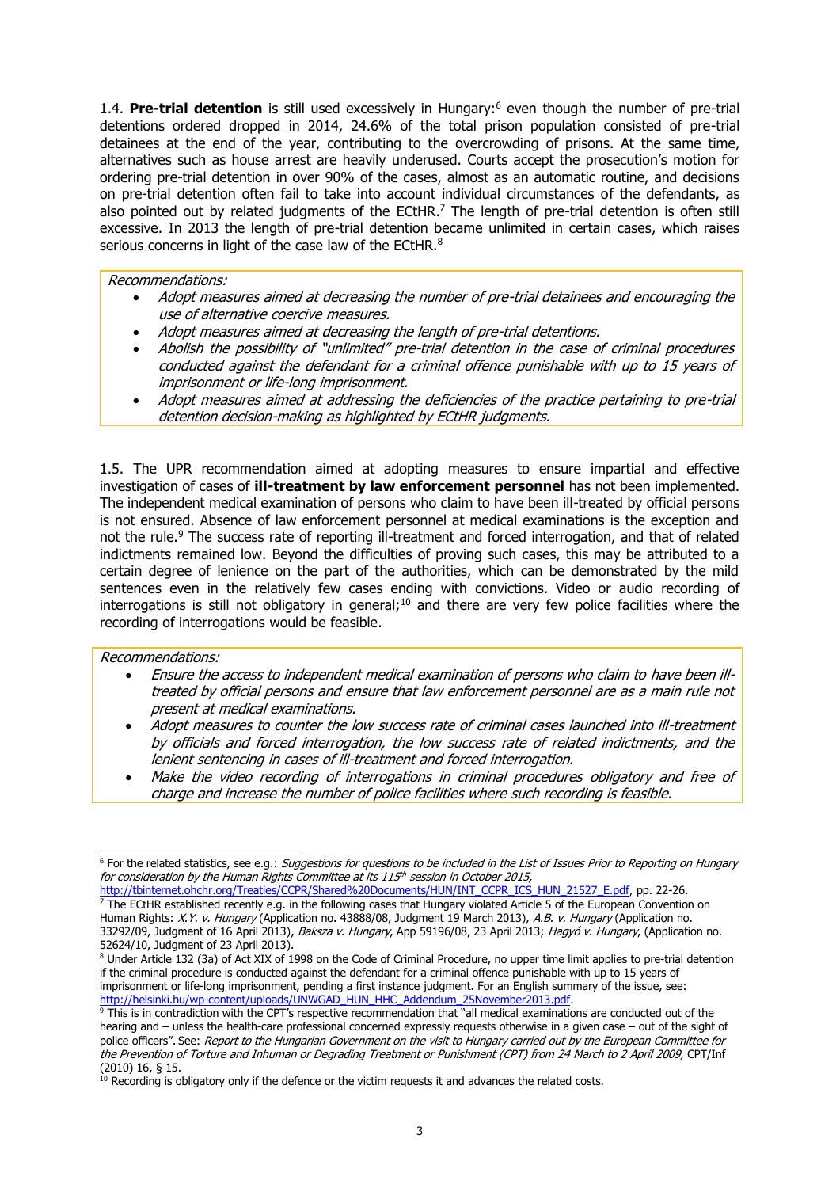1.4. Pre-trial detention is still used excessively in Hungary:<sup>6</sup> even though the number of pre-trial detentions ordered dropped in 2014, 24.6% of the total prison population consisted of pre-trial detainees at the end of the year, contributing to the overcrowding of prisons. At the same time, alternatives such as house arrest are heavily underused. Courts accept the prosecution's motion for ordering pre-trial detention in over 90% of the cases, almost as an automatic routine, and decisions on pre-trial detention often fail to take into account individual circumstances of the defendants, as also pointed out by related judgments of the ECtHR.<sup>7</sup> The length of pre-trial detention is often still excessive. In 2013 the length of pre-trial detention became unlimited in certain cases, which raises serious concerns in light of the case law of the ECtHR.<sup>8</sup>

Recommendations:

- Adopt measures aimed at decreasing the number of pre-trial detainees and encouraging the use of alternative coercive measures.
- Adopt measures aimed at decreasing the length of pre-trial detentions.
- Abolish the possibility of "unlimited" pre-trial detention in the case of criminal procedures conducted against the defendant for a criminal offence punishable with up to 15 years of imprisonment or life-long imprisonment.
- Adopt measures aimed at addressing the deficiencies of the practice pertaining to pre-trial detention decision-making as highlighted by ECtHR judgments.

1.5. The UPR recommendation aimed at adopting measures to ensure impartial and effective investigation of cases of **ill-treatment by law enforcement personnel** has not been implemented. The independent medical examination of persons who claim to have been ill-treated by official persons is not ensured. Absence of law enforcement personnel at medical examinations is the exception and not the rule.<sup>9</sup> The success rate of reporting ill-treatment and forced interrogation, and that of related indictments remained low. Beyond the difficulties of proving such cases, this may be attributed to a certain degree of lenience on the part of the authorities, which can be demonstrated by the mild sentences even in the relatively few cases ending with convictions. Video or audio recording of interrogations is still not obligatory in general;<sup>10</sup> and there are very few police facilities where the recording of interrogations would be feasible.

### Recommendations:

- Ensure the access to independent medical examination of persons who claim to have been illtreated by official persons and ensure that law enforcement personnel are as a main rule not present at medical examinations.
- Adopt measures to counter the low success rate of criminal cases launched into ill-treatment by officials and forced interrogation, the low success rate of related indictments, and the lenient sentencing in cases of ill-treatment and forced interrogation.
- Make the video recording of interrogations in criminal procedures obligatory and free of charge and increase the number of police facilities where such recording is feasible.

<sup>-</sup><sup>6</sup> For the related statistics, see e.g.: Suggestions for questions to be included in the List of Issues Prior to Reporting on Hungary for consideration by the Human Rights Committee at its 115<sup>th</sup> session in October 2015,

[http://tbinternet.ohchr.org/Treaties/CCPR/Shared%20Documents/HUN/INT\\_CCPR\\_ICS\\_HUN\\_21527\\_E.pdf,](http://tbinternet.ohchr.org/Treaties/CCPR/Shared%20Documents/HUN/INT_CCPR_ICS_HUN_21527_E.pdf) pp. 22-26.  $<sup>7</sup>$  The ECtHR established recently e.g. in the following cases that Hungary violated Article 5 of the European Convention on</sup> Human Rights: X.Y. v. Hungary (Application no. 43888/08, Judgment 19 March 2013), A.B. v. Hungary (Application no. 33292/09, Judgment of 16 April 2013), Baksza v. Hungary, App 59196/08, 23 April 2013; Hagyó v. Hungary, (Application no. 52624/10, Judgment of 23 April 2013).

<sup>8</sup> Under Article 132 (3a) of Act XIX of 1998 on the Code of Criminal Procedure, no upper time limit applies to pre-trial detention if the criminal procedure is conducted against the defendant for a criminal offence punishable with up to 15 years of imprisonment or life-long imprisonment, pending a first instance judgment. For an English summary of the issue, see: [http://helsinki.hu/wp-content/uploads/UNWGAD\\_HUN\\_HHC\\_Addendum\\_25November2013.pdf.](http://helsinki.hu/wp-content/uploads/UNWGAD_HUN_HHC_Addendum_25November2013.pdf)

 $9$  This is in contradiction with the CPT's respective recommendation that "all medical examinations are conducted out of the hearing and – unless the health-care professional concerned expressly requests otherwise in a given case – out of the sight of police officers". See: Report to the Hungarian Government on the visit to Hungary carried out by the European Committee for the Prevention of Torture and Inhuman or Degrading Treatment or Punishment (CPT) from 24 March to 2 April 2009, CPT/Inf (2010) 16, § 15.

 $10$  Recording is obligatory only if the defence or the victim requests it and advances the related costs.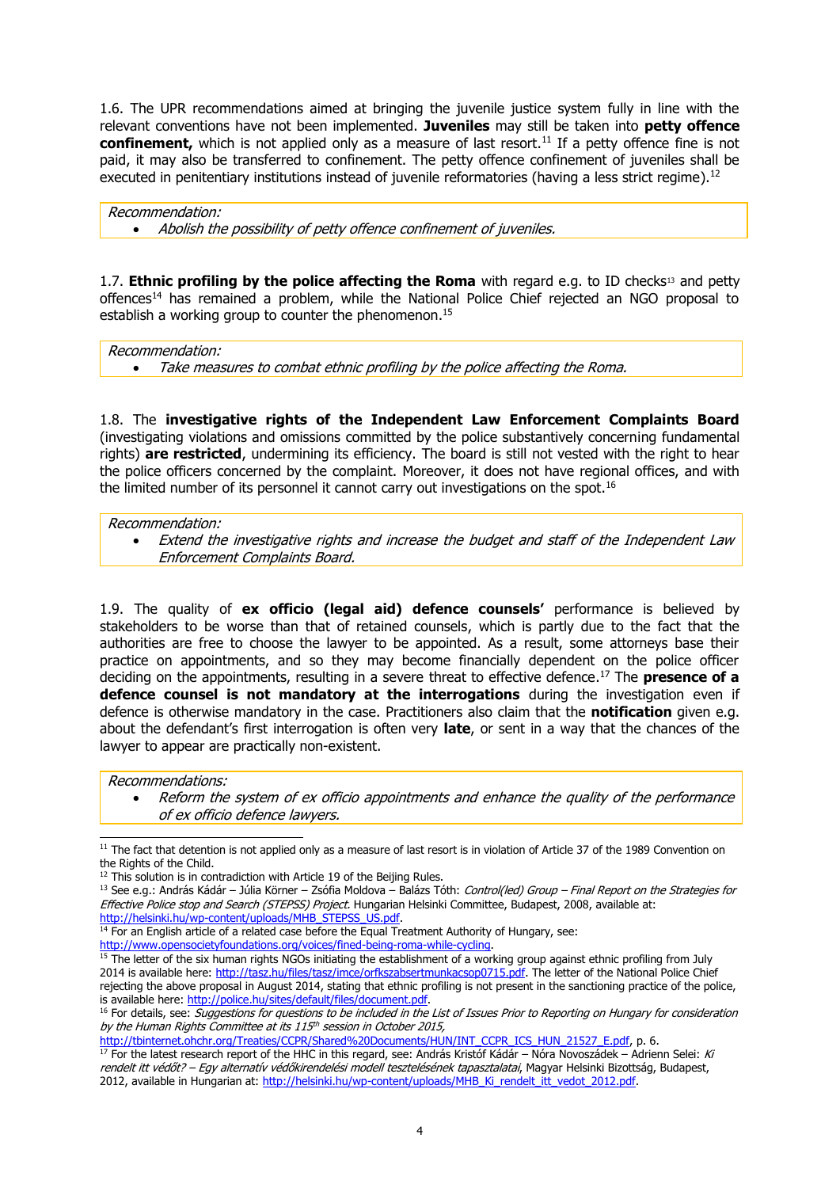1.6. The UPR recommendations aimed at bringing the juvenile justice system fully in line with the relevant conventions have not been implemented. **Juveniles** may still be taken into **petty offence confinement,** which is not applied only as a measure of last resort.<sup>11</sup> If a petty offence fine is not paid, it may also be transferred to confinement. The petty offence confinement of juveniles shall be executed in penitentiary institutions instead of juvenile reformatories (having a less strict regime).<sup>12</sup>

Recommendation: Abolish the possibility of petty offence confinement of juveniles.

1.7. **Ethnic profiling by the police affecting the Roma** with regard e.g. to ID checks<sup>13</sup> and petty offences<sup>14</sup> has remained a problem, while the National Police Chief rejected an NGO proposal to establish a working group to counter the phenomenon.<sup>15</sup>

Recommendation: Take measures to combat ethnic profiling by the police affecting the Roma.

1.8. The **investigative rights of the Independent Law Enforcement Complaints Board** (investigating violations and omissions committed by the police substantively concerning fundamental rights) **are restricted**, undermining its efficiency. The board is still not vested with the right to hear the police officers concerned by the complaint. Moreover, it does not have regional offices, and with the limited number of its personnel it cannot carry out investigations on the spot.<sup>16</sup>

Recommendation:

 Extend the investigative rights and increase the budget and staff of the Independent Law Enforcement Complaints Board.

1.9. The quality of **ex officio (legal aid) defence counsels'** performance is believed by stakeholders to be worse than that of retained counsels, which is partly due to the fact that the authorities are free to choose the lawyer to be appointed. As a result, some attorneys base their practice on appointments, and so they may become financially dependent on the police officer deciding on the appointments, resulting in a severe threat to effective defence. <sup>17</sup> The **presence of a defence counsel is not mandatory at the interrogations** during the investigation even if defence is otherwise mandatory in the case. Practitioners also claim that the **notification** given e.g. about the defendant's first interrogation is often very **late**, or sent in a way that the chances of the lawyer to appear are practically non-existent.

Recommendations:

-

 Reform the system of ex officio appointments and enhance the quality of the performance of ex officio defence lawyers.

[http://tbinternet.ohchr.org/Treaties/CCPR/Shared%20Documents/HUN/INT\\_CCPR\\_ICS\\_HUN\\_21527\\_E.pdf,](http://tbinternet.ohchr.org/Treaties/CCPR/Shared%20Documents/HUN/INT_CCPR_ICS_HUN_21527_E.pdf) p. 6.

 $17$  For the latest research report of the HHC in this regard, see: András Kristóf Kádár – Nóra Novoszádek – Adrienn Selei: Ki rendelt itt védőt? – Egy alternatív védőkirendelési modell tesztelésének tapasztalatai, Magyar Helsinki Bizottság, Budapest, 2012, available in Hungarian at: [http://helsinki.hu/wp-content/uploads/MHB\\_Ki\\_rendelt\\_itt\\_vedot\\_2012.pdf.](http://helsinki.hu/wp-content/uploads/MHB_Ki_rendelt_itt_vedot_2012.pdf)

 $11$  The fact that detention is not applied only as a measure of last resort is in violation of Article 37 of the 1989 Convention on the Rights of the Child.

 $12$  This solution is in contradiction with Article 19 of the Beijing Rules.

 $13$  See e.g.: András Kádár – Júlia Körner – Zsófia Moldova – Balázs Tóth: Control(led) Group – Final Report on the Strategies for Effective Police stop and Search (STEPSS) Project. Hungarian Helsinki Committee, Budapest, 2008, available at: [http://helsinki.hu/wp-content/uploads/MHB\\_STEPSS\\_US.pdf.](http://helsinki.hu/wp-content/uploads/MHB_STEPSS_US.pdf)

<sup>&</sup>lt;sup>14</sup> For an English article of a related case before the Equal Treatment Authority of Hungary, see:

[http://www.opensocietyfoundations.org/voices/fined-being-roma-while-cycling.](http://www.opensocietyfoundations.org/voices/fined-being-roma-while-cycling)

<sup>&</sup>lt;sup>15</sup> The letter of the six human rights NGOs initiating the establishment of a working group against ethnic profiling from July 2014 is available here: [http://tasz.hu/files/tasz/imce/orfkszabsertmunkacsop0715.pdf.](http://tasz.hu/files/tasz/imce/orfkszabsertmunkacsop0715.pdf) The letter of the National Police Chief rejecting the above proposal in August 2014, stating that ethnic profiling is not present in the sanctioning practice of the police, is available here: [http://police.hu/sites/default/files/document.pdf.](http://police.hu/sites/default/files/document.pdf)

<sup>&</sup>lt;sup>16</sup> For details, see: Suggestions for questions to be included in the List of Issues Prior to Reporting on Hungary for consideration by the Human Rights Committee at its 115th session in October 2015,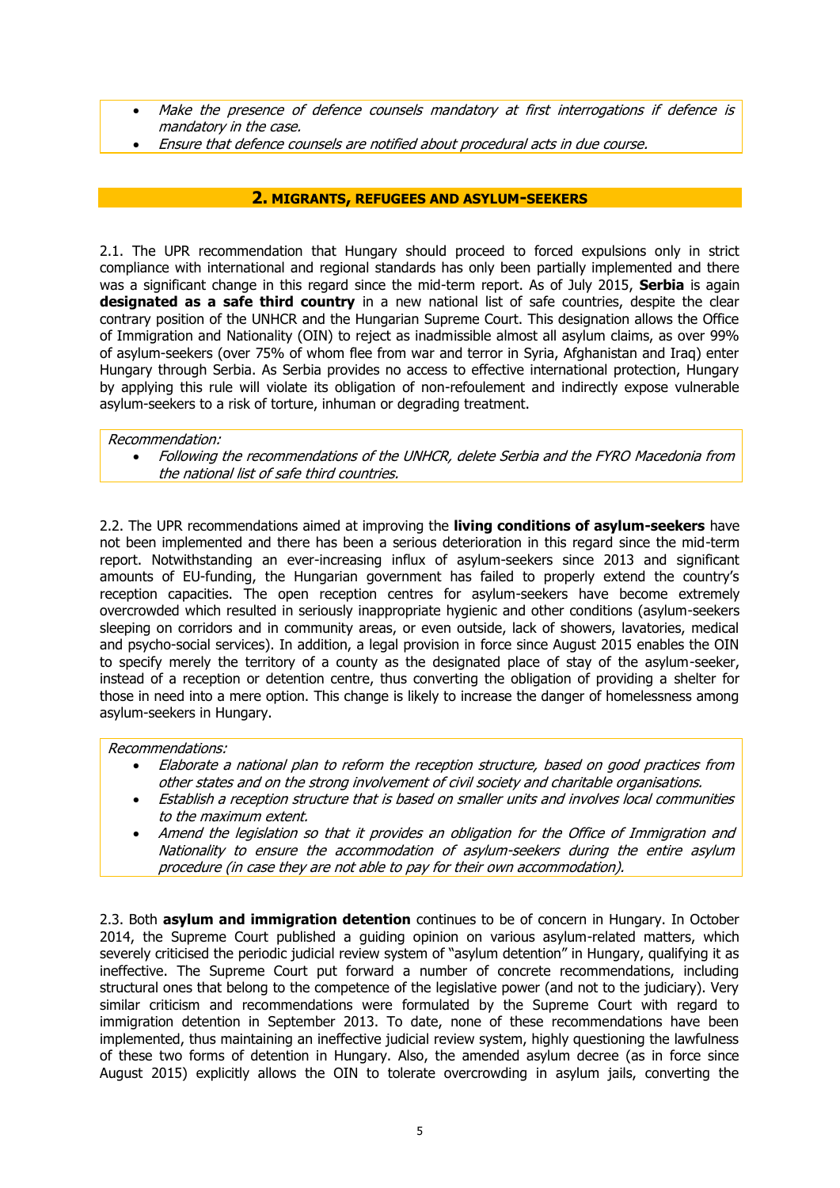- Make the presence of defence counsels mandatory at first interrogations if defence is mandatory in the case.
- Ensure that defence counsels are notified about procedural acts in due course.

## **2. MIGRANTS, REFUGEES AND ASYLUM-SEEKERS**

2.1. The UPR recommendation that Hungary should proceed to forced expulsions only in strict compliance with international and regional standards has only been partially implemented and there was a significant change in this regard since the mid-term report. As of July 2015, **Serbia** is again designated as a safe third country in a new national list of safe countries, despite the clear contrary position of the UNHCR and the Hungarian Supreme Court. This designation allows the Office of Immigration and Nationality (OIN) to reject as inadmissible almost all asylum claims, as over 99% of asylum-seekers (over 75% of whom flee from war and terror in Syria, Afghanistan and Iraq) enter Hungary through Serbia. As Serbia provides no access to effective international protection, Hungary by applying this rule will violate its obligation of non-refoulement and indirectly expose vulnerable asylum-seekers to a risk of torture, inhuman or degrading treatment.

## Recommendation:

 Following the recommendations of the UNHCR, delete Serbia and the FYRO Macedonia from the national list of safe third countries.

2.2. The UPR recommendations aimed at improving the **living conditions of asylum-seekers** have not been implemented and there has been a serious deterioration in this regard since the mid-term report. Notwithstanding an ever-increasing influx of asylum-seekers since 2013 and significant amounts of EU-funding, the Hungarian government has failed to properly extend the country's reception capacities. The open reception centres for asylum-seekers have become extremely overcrowded which resulted in seriously inappropriate hygienic and other conditions (asylum-seekers sleeping on corridors and in community areas, or even outside, lack of showers, lavatories, medical and psycho-social services). In addition, a legal provision in force since August 2015 enables the OIN to specify merely the territory of a county as the designated place of stay of the asylum-seeker, instead of a reception or detention centre, thus converting the obligation of providing a shelter for those in need into a mere option. This change is likely to increase the danger of homelessness among asylum-seekers in Hungary.

## Recommendations:

- Elaborate a national plan to reform the reception structure, based on good practices from other states and on the strong involvement of civil society and charitable organisations.
- Establish a reception structure that is based on smaller units and involves local communities to the maximum extent.
- Amend the legislation so that it provides an obligation for the Office of Immigration and Nationality to ensure the accommodation of asylum-seekers during the entire asylum procedure (in case they are not able to pay for their own accommodation).

2.3. Both **asylum and immigration detention** continues to be of concern in Hungary. In October 2014, the Supreme Court published a guiding opinion on various asylum-related matters, which severely criticised the periodic judicial review system of "asylum detention" in Hungary, qualifying it as ineffective. The Supreme Court put forward a number of concrete recommendations, including structural ones that belong to the competence of the legislative power (and not to the judiciary). Very similar criticism and recommendations were formulated by the Supreme Court with regard to immigration detention in September 2013. To date, none of these recommendations have been implemented, thus maintaining an ineffective judicial review system, highly questioning the lawfulness of these two forms of detention in Hungary. Also, the amended asylum decree (as in force since August 2015) explicitly allows the OIN to tolerate overcrowding in asylum jails, converting the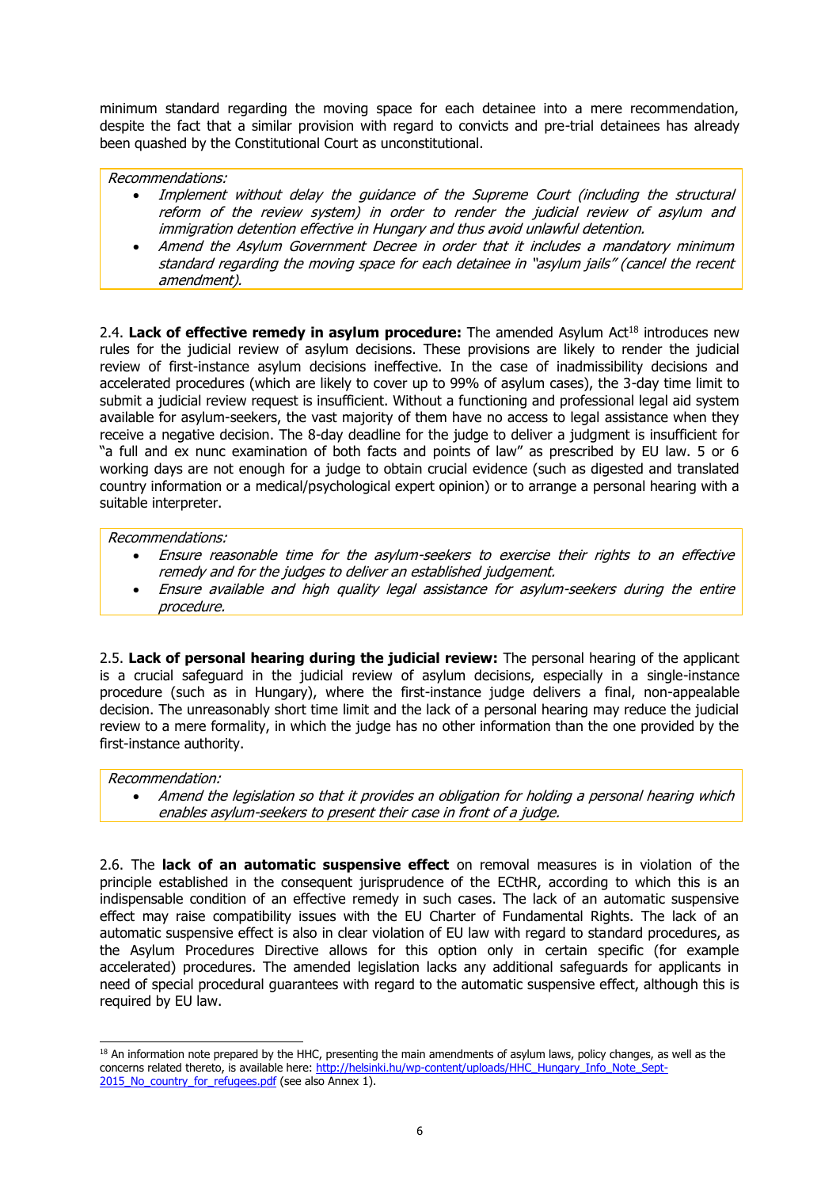minimum standard regarding the moving space for each detainee into a mere recommendation, despite the fact that a similar provision with regard to convicts and pre-trial detainees has already been quashed by the Constitutional Court as unconstitutional.

## Recommendations:

- Implement without delay the guidance of the Supreme Court (including the structural reform of the review system) in order to render the judicial review of asylum and immigration detention effective in Hungary and thus avoid unlawful detention.
- Amend the Asylum Government Decree in order that it includes a mandatory minimum standard regarding the moving space for each detainee in "asylum jails" (cancel the recent amendment).

2.4. Lack of effective remedy in asylum procedure: The amended Asylum Act<sup>18</sup> introduces new rules for the judicial review of asylum decisions. These provisions are likely to render the judicial review of first-instance asylum decisions ineffective. In the case of inadmissibility decisions and accelerated procedures (which are likely to cover up to 99% of asylum cases), the 3-day time limit to submit a judicial review request is insufficient. Without a functioning and professional legal aid system available for asylum-seekers, the vast majority of them have no access to legal assistance when they receive a negative decision. The 8-day deadline for the judge to deliver a judgment is insufficient for "a full and ex nunc examination of both facts and points of law" as prescribed by EU law. 5 or 6 working days are not enough for a judge to obtain crucial evidence (such as digested and translated country information or a medical/psychological expert opinion) or to arrange a personal hearing with a suitable interpreter.

## Recommendations:

- Ensure reasonable time for the asylum-seekers to exercise their rights to an effective remedy and for the judges to deliver an established judgement.
- Ensure available and high quality legal assistance for asylum-seekers during the entire procedure.

2.5. **Lack of personal hearing during the judicial review:** The personal hearing of the applicant is a crucial safeguard in the judicial review of asylum decisions, especially in a single-instance procedure (such as in Hungary), where the first-instance judge delivers a final, non-appealable decision. The unreasonably short time limit and the lack of a personal hearing may reduce the judicial review to a mere formality, in which the judge has no other information than the one provided by the first-instance authority.

## Recommendation:

-

 Amend the legislation so that it provides an obligation for holding a personal hearing which enables asylum-seekers to present their case in front of a judge.

2.6. The **lack of an automatic suspensive effect** on removal measures is in violation of the principle established in the consequent jurisprudence of the ECtHR, according to which this is an indispensable condition of an effective remedy in such cases. The lack of an automatic suspensive effect may raise compatibility issues with the EU Charter of Fundamental Rights. The lack of an automatic suspensive effect is also in clear violation of EU law with regard to standard procedures, as the Asylum Procedures Directive allows for this option only in certain specific (for example accelerated) procedures. The amended legislation lacks any additional safeguards for applicants in need of special procedural guarantees with regard to the automatic suspensive effect, although this is required by EU law.

 $18$  An information note prepared by the HHC, presenting the main amendments of asylum laws, policy changes, as well as the concerns related thereto, is available here: [http://helsinki.hu/wp-content/uploads/HHC\\_Hungary\\_Info\\_Note\\_Sept-](http://helsinki.hu/wp-content/uploads/HHC_Hungary_Info_Note_Sept-2015_No_country_for_refugees.pdf)2015 No country for refugees.pdf (see also Annex 1).